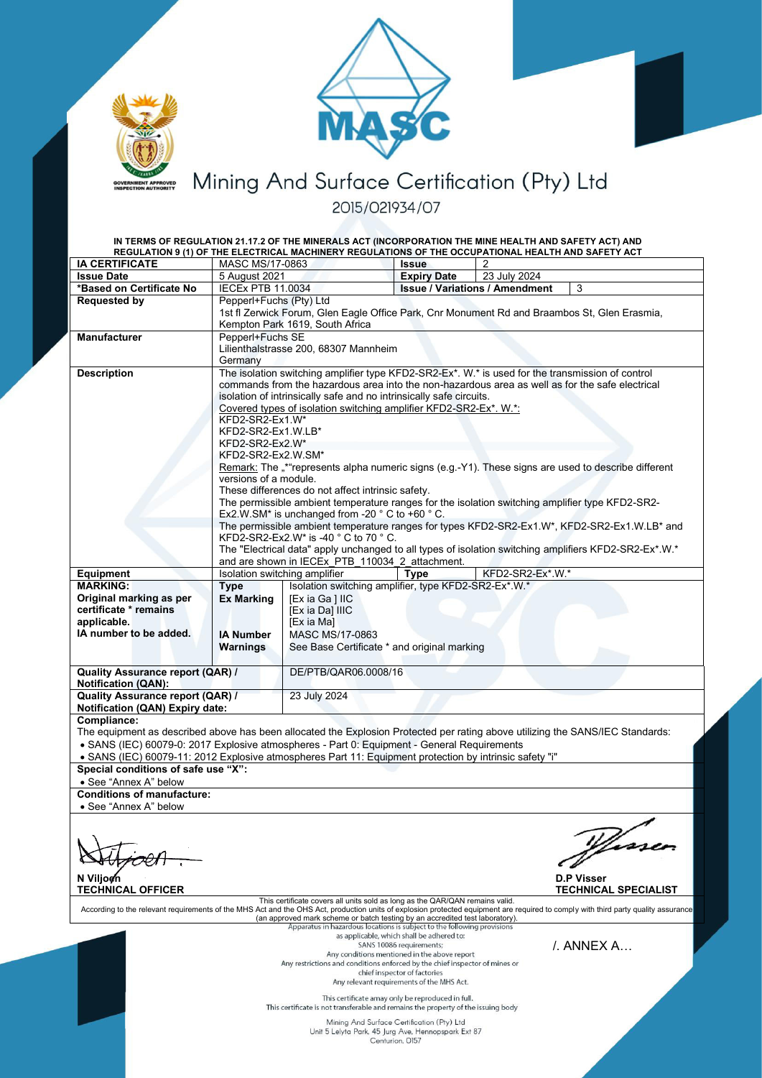



Mining And Surface Certification (Pty) Ltd 2015/021934/07

|                                                                                                                                                                                    |                                                                                                                                              | IN TERMS OF REGULATION 21.17.2 OF THE MINERALS ACT (INCORPORATION THE MINE HEALTH AND SAFETY ACT) AND |                                           |                                       |   |
|------------------------------------------------------------------------------------------------------------------------------------------------------------------------------------|----------------------------------------------------------------------------------------------------------------------------------------------|-------------------------------------------------------------------------------------------------------|-------------------------------------------|---------------------------------------|---|
| <b>IA CERTIFICATE</b>                                                                                                                                                              | MASC MS/17-0863                                                                                                                              | REGULATION 9 (1) OF THE ELECTRICAL MACHINERY REGULATIONS OF THE OCCUPATIONAL HEALTH AND SAFETY ACT    | <b>Issue</b>                              |                                       |   |
| <b>Issue Date</b>                                                                                                                                                                  | 5 August 2021                                                                                                                                |                                                                                                       | <b>Expiry Date</b>                        | 23 July 2024                          |   |
| *Based on Certificate No                                                                                                                                                           | <b>IECEx PTB 11.0034</b>                                                                                                                     |                                                                                                       |                                           | <b>Issue / Variations / Amendment</b> | 3 |
| <b>Requested by</b>                                                                                                                                                                |                                                                                                                                              |                                                                                                       |                                           |                                       |   |
|                                                                                                                                                                                    | Pepperl+Fuchs (Pty) Ltd<br>1st fl Zerwick Forum, Glen Eagle Office Park, Cnr Monument Rd and Braambos St, Glen Erasmia,                      |                                                                                                       |                                           |                                       |   |
|                                                                                                                                                                                    |                                                                                                                                              | Kempton Park 1619, South Africa                                                                       |                                           |                                       |   |
| <b>Manufacturer</b>                                                                                                                                                                | Pepperl+Fuchs SE                                                                                                                             |                                                                                                       |                                           |                                       |   |
|                                                                                                                                                                                    | Lilienthalstrasse 200, 68307 Mannheim                                                                                                        |                                                                                                       |                                           |                                       |   |
|                                                                                                                                                                                    | Germany                                                                                                                                      |                                                                                                       |                                           |                                       |   |
| <b>Description</b>                                                                                                                                                                 | The isolation switching amplifier type KFD2-SR2-Ex*. W.* is used for the transmission of control                                             |                                                                                                       |                                           |                                       |   |
|                                                                                                                                                                                    | commands from the hazardous area into the non-hazardous area as well as for the safe electrical                                              |                                                                                                       |                                           |                                       |   |
|                                                                                                                                                                                    | isolation of intrinsically safe and no intrinsically safe circuits.                                                                          |                                                                                                       |                                           |                                       |   |
|                                                                                                                                                                                    | Covered types of isolation switching amplifier KFD2-SR2-Ex*. W.*:                                                                            |                                                                                                       |                                           |                                       |   |
|                                                                                                                                                                                    | KFD2-SR2-Ex1.W*                                                                                                                              |                                                                                                       |                                           |                                       |   |
|                                                                                                                                                                                    | KFD2-SR2-Ex1.W.LB*                                                                                                                           |                                                                                                       |                                           |                                       |   |
|                                                                                                                                                                                    | KFD2-SR2-Ex2.W*<br>KFD2-SR2-Ex2.W.SM*                                                                                                        |                                                                                                       |                                           |                                       |   |
|                                                                                                                                                                                    | Remark: The "*"represents alpha numeric signs (e.g.-Y1). These signs are used to describe different                                          |                                                                                                       |                                           |                                       |   |
|                                                                                                                                                                                    | versions of a module.                                                                                                                        |                                                                                                       |                                           |                                       |   |
|                                                                                                                                                                                    | These differences do not affect intrinsic safety.                                                                                            |                                                                                                       |                                           |                                       |   |
|                                                                                                                                                                                    | The permissible ambient temperature ranges for the isolation switching amplifier type KFD2-SR2-                                              |                                                                                                       |                                           |                                       |   |
|                                                                                                                                                                                    | Ex2.W.SM* is unchanged from -20 $^{\circ}$ C to +60 $^{\circ}$ C.                                                                            |                                                                                                       |                                           |                                       |   |
|                                                                                                                                                                                    | The permissible ambient temperature ranges for types KFD2-SR2-Ex1.W*, KFD2-SR2-Ex1.W.LB* and                                                 |                                                                                                       |                                           |                                       |   |
|                                                                                                                                                                                    | KFD2-SR2-Ex2.W* is -40 °C to 70 °C.<br>The "Electrical data" apply unchanged to all types of isolation switching amplifiers KFD2-SR2-Ex*.W.* |                                                                                                       |                                           |                                       |   |
|                                                                                                                                                                                    |                                                                                                                                              | and are shown in IECEx PTB 110034 2 attachment.                                                       |                                           |                                       |   |
| Equipment                                                                                                                                                                          | Isolation switching amplifier                                                                                                                |                                                                                                       | <b>Type</b>                               | KFD2-SR2-Ex*.W.*                      |   |
| <b>MARKING:</b>                                                                                                                                                                    | <b>Type</b>                                                                                                                                  | Isolation switching amplifier, type KFD2-SR2-Ex*.W.*                                                  |                                           |                                       |   |
| Original marking as per                                                                                                                                                            | <b>Ex Marking</b>                                                                                                                            | [Ex ia Ga ] IIC                                                                                       |                                           |                                       |   |
| certificate * remains                                                                                                                                                              |                                                                                                                                              | [Ex ia Da] IIIC                                                                                       |                                           |                                       |   |
| applicable.                                                                                                                                                                        |                                                                                                                                              | [Ex ia Ma]                                                                                            |                                           |                                       |   |
| IA number to be added.                                                                                                                                                             | <b>IA Number</b>                                                                                                                             | MASC MS/17-0863                                                                                       |                                           |                                       |   |
|                                                                                                                                                                                    | <b>Warnings</b>                                                                                                                              | See Base Certificate * and original marking                                                           |                                           |                                       |   |
|                                                                                                                                                                                    |                                                                                                                                              |                                                                                                       |                                           |                                       |   |
| <b>Quality Assurance report (QAR) /</b>                                                                                                                                            |                                                                                                                                              | DE/PTB/QAR06.0008/16                                                                                  |                                           |                                       |   |
| <b>Notification (QAN):</b><br><b>Quality Assurance report (QAR) /</b>                                                                                                              |                                                                                                                                              | 23 July 2024                                                                                          |                                           |                                       |   |
| Notification (QAN) Expiry date:                                                                                                                                                    |                                                                                                                                              |                                                                                                       |                                           |                                       |   |
| Compliance:                                                                                                                                                                        |                                                                                                                                              |                                                                                                       |                                           |                                       |   |
| The equipment as described above has been allocated the Explosion Protected per rating above utilizing the SANS/IEC Standards:                                                     |                                                                                                                                              |                                                                                                       |                                           |                                       |   |
| • SANS (IEC) 60079-0: 2017 Explosive atmospheres - Part 0: Equipment - General Requirements                                                                                        |                                                                                                                                              |                                                                                                       |                                           |                                       |   |
| • SANS (IEC) 60079-11: 2012 Explosive atmospheres Part 11: Equipment protection by intrinsic safety "i"                                                                            |                                                                                                                                              |                                                                                                       |                                           |                                       |   |
| Special conditions of safe use "X":                                                                                                                                                |                                                                                                                                              |                                                                                                       |                                           |                                       |   |
| • See "Annex A" below                                                                                                                                                              |                                                                                                                                              |                                                                                                       |                                           |                                       |   |
| <b>Conditions of manufacture:</b>                                                                                                                                                  |                                                                                                                                              |                                                                                                       |                                           |                                       |   |
| • See "Annex A" below                                                                                                                                                              |                                                                                                                                              |                                                                                                       |                                           |                                       |   |
|                                                                                                                                                                                    |                                                                                                                                              |                                                                                                       |                                           |                                       |   |
| Hisse                                                                                                                                                                              |                                                                                                                                              |                                                                                                       |                                           |                                       |   |
|                                                                                                                                                                                    |                                                                                                                                              |                                                                                                       |                                           |                                       |   |
|                                                                                                                                                                                    |                                                                                                                                              |                                                                                                       |                                           |                                       |   |
| <b>D.P Visser</b><br>N Viljogn                                                                                                                                                     |                                                                                                                                              |                                                                                                       |                                           |                                       |   |
| <b>TECHNICAL OFFICER</b><br><b>TECHNICAL SPECIALIST</b><br>This certificate covers all units sold as long as the QAR/QAN remains valid.                                            |                                                                                                                                              |                                                                                                       |                                           |                                       |   |
| According to the relevant requirements of the MHS Act and the OHS Act, production units of explosion protected equipment are required to comply with third party quality assurance |                                                                                                                                              |                                                                                                       |                                           |                                       |   |
| (an approved mark scheme or batch testing by an accredited test laboratory).<br>Apparatus in hazardous locations is subject to the following provisions                            |                                                                                                                                              |                                                                                                       |                                           |                                       |   |
|                                                                                                                                                                                    |                                                                                                                                              |                                                                                                       | as applicable, which shall be adhered to: |                                       |   |
|                                                                                                                                                                                    | SANS 10086 requirements;<br>$/$ . ANNEX A<br>Any conditions mentioned in the above report                                                    |                                                                                                       |                                           |                                       |   |
|                                                                                                                                                                                    | Any restrictions and conditions enforced by the chief inspector of mines or                                                                  |                                                                                                       |                                           |                                       |   |
| chief inspector of factories                                                                                                                                                       |                                                                                                                                              |                                                                                                       |                                           |                                       |   |

Any relevant requirements of the MHS Act.

This certificate amay only be reproduced in full.<br>This certificate is not transferable and remains the property of the issuing body

Mining And Surface Certification (Pty) Ltd<br>Unit 5 Lelyta Park, 45 Jurg Ave, Hennopspark Ext 87<br>Centurion, 0157